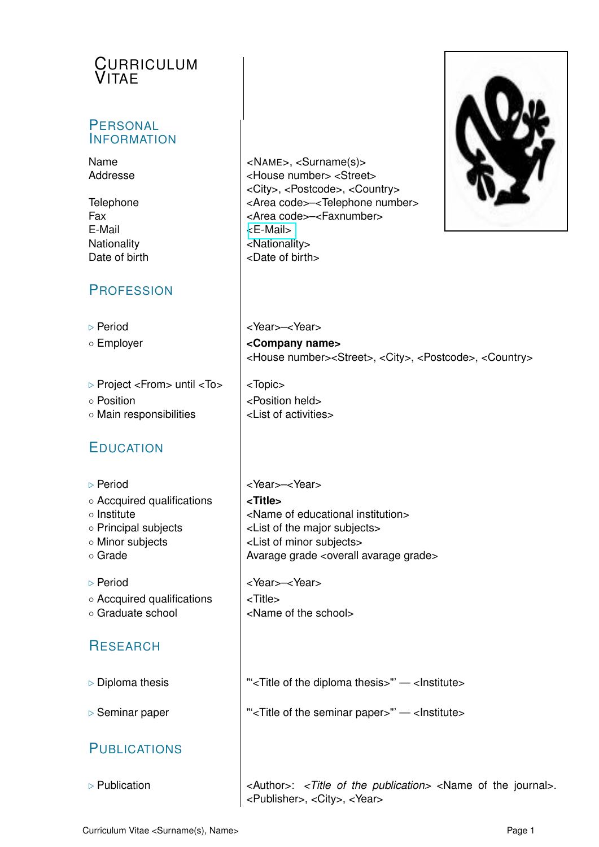# **CURRICULUM** VITAE

#### **PERSONAL INFORMATION**

Name  $\vert$  <NAME>, <Surname(s)>

E-Mail [<E-Mail>](mailto:<E-Mail>) Nationality **Nationality** Date of birth  $\vert$  <Date of birth>

#### **PROFESSION**

. Project <From> until <To> <Topic>

◦ Main responsibilities <List of activities>

# EDUCATION

**RESEARCH** 

**PUBLICATIONS** 

Addresse <House number> <Street> <City>, <Postcode>, <Country> Telephone  $\vert$  <Area code>-<Telephone number> Fax  $\vert$  <Area code>-<Faxnumber>



D Period and a series and series and series below below by Period and SNear >  $\sim$ Year >  $\sim$ Year >  $\sim$ Year >  $\sim$ Year >  $\sim$ Year >  $\sim$ Year >  $\sim$ Year >  $\sim$ Year >  $\sim$ Year >  $\sim$ Year >  $\sim$ Year >  $\sim$ Year >  $\sim$ Year > ◦ Employer **<Company name>** <House number><Street>, <City>, <Postcode>, <Country>

◦ Position and Position held

D Period and a large large large large large large large large large large large large large large large large large large large large large large large large large large large large large large large large large large la ◦ Accquired qualifications **<Title>** ◦ Institute <Name of educational institution> ◦ Principal subjects <List of the major subjects> ◦ Minor subjects <List of minor subjects> ◦ Grade Avarage grade <overall avarage grade>

D Period and a series of the Vear > -<Year > New Year >  $\sim$ Year >  $\sim$ Year >  $\sim$ Year >  $\sim$ Year >  $\sim$  Year >  $\sim$  Year >  $\sim$  Year >  $\sim$  Year >  $\sim$  Year >  $\sim$  Year >  $\sim$  Year >  $\sim$  Year >  $\sim$  Year >  $\sim$  Year >

- Accquired qualifications <Title>
- Graduate school <Name of the school>

**Diploma thesis**  $\vert$  "'<Title of the diploma thesis>" — <Institute>

⊳ Seminar paper The Seminar papers in Seminar papers and let us apperbene seminar papers in the seminar papers in the seminar papers in the seminar papers in the seminar papers in the seminar papers in the seminar papers

**Example 2** Publication **and in the set of the publication>** <Name of the journal>. <Publisher>, <City>, <Year>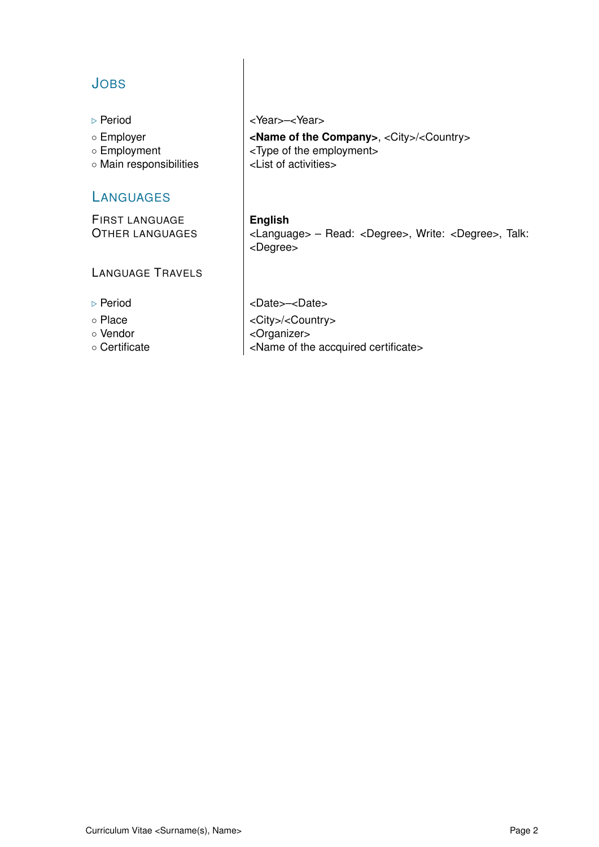# JOBS

- 
- 
- 
- Main responsibilities <List of activities>

#### **LANGUAGES**

FIRST LANGUAGE **English**

LANGUAGE TRAVELS

- 
- 
- 
- 

D Period and a series and series and series and series and series and series and series and series and series and series and series and series and series and series and series and series and series and series and series a

◦ Employer **<Name of the Company>**, <City>/<Country> ◦ Employment <Type of the employment>

OTHER LANGUAGES <Language> – Read: <Degree>, Write: <Degree>, Talk: <Degree>

Deriod <Date> - <Date> ◦ Place <City>/<Country> ◦ Vendor (comparent comparent comparent comparent comparent comparent comparent comparent comparent comparent comparent comparent comparent comparent comparent comparent comparent comparent comparent comparent comparent c ◦ Certificate <Name of the accquired certificate>